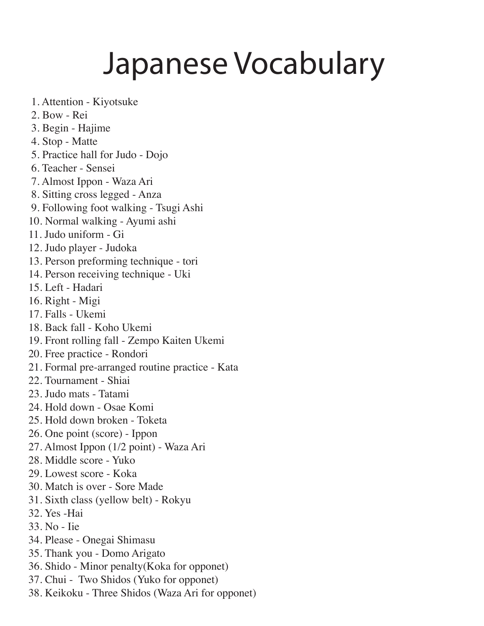## Japanese Vocabulary

- 1. Attention Kiyotsuke
- 2. Bow Rei
- 3. Begin Hajime
- 4. Stop Matte
- 5. Practice hall for Judo Dojo
- 6. Teacher Sensei
- 7. Almost Ippon Waza Ari
- 8. Sitting cross legged Anza
- 9. Following foot walking Tsugi Ashi
- 10. Normal walking Ayumi ashi
- 11. Judo uniform Gi
- 12. Judo player Judoka
- 13. Person preforming technique tori
- 14. Person receiving technique Uki
- 15. Left Hadari
- 16. Right Migi
- 17. Falls Ukemi
- 18. Back fall Koho Ukemi
- 19. Front rolling fall Zempo Kaiten Ukemi
- 20. Free practice Rondori
- 21. Formal pre-arranged routine practice Kata
- 22. Tournament Shiai
- 23. Judo mats Tatami
- 24. Hold down Osae Komi
- 25. Hold down broken Toketa
- 26. One point (score) Ippon
- 27. Almost Ippon (1/2 point) Waza Ari
- 28. Middle score Yuko
- 29. Lowest score Koka
- 30. Match is over Sore Made
- 31. Sixth class (yellow belt) Rokyu
- 32. Yes -Hai
- 33. No Iie
- 34. Please Onegai Shimasu
- 35. Thank you Domo Arigato
- 36. Shido Minor penalty(Koka for opponet)
- 37. Chui Two Shidos (Yuko for opponet)
- 38. Keikoku Three Shidos (Waza Ari for opponet)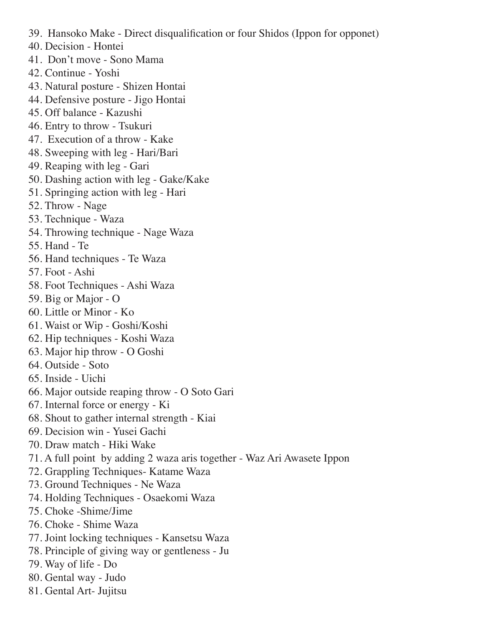- 39. Hansoko Make Direct disqualification or four Shidos (Ippon for opponet)
- 40. Decision Hontei
- 41. Don't move Sono Mama
- 42. Continue Yoshi
- 43. Natural posture Shizen Hontai
- 44. Defensive posture Jigo Hontai
- 45. Off balance Kazushi
- 46. Entry to throw Tsukuri
- 47. Execution of a throw Kake
- 48. Sweeping with leg Hari/Bari
- 49. Reaping with leg Gari
- 50. Dashing action with leg Gake/Kake
- 51. Springing action with leg Hari
- 52. Throw Nage
- 53. Technique Waza
- 54. Throwing technique Nage Waza
- 55. Hand Te
- 56. Hand techniques Te Waza
- 57. Foot Ashi
- 58. Foot Techniques Ashi Waza
- 59. Big or Major O
- 60. Little or Minor Ko
- 61. Waist or Wip Goshi/Koshi
- 62. Hip techniques Koshi Waza
- 63. Major hip throw O Goshi
- 64. Outside Soto
- 65. Inside Uichi
- 66. Major outside reaping throw O Soto Gari
- 67. Internal force or energy Ki
- 68. Shout to gather internal strength Kiai
- 69. Decision win Yusei Gachi
- 70. Draw match Hiki Wake
- 71. A full point by adding 2 waza aris together Waz Ari Awasete Ippon
- 72. Grappling Techniques- Katame Waza
- 73. Ground Techniques Ne Waza
- 74. Holding Techniques Osaekomi Waza
- 75. Choke -Shime/Jime
- 76. Choke Shime Waza
- 77. Joint locking techniques Kansetsu Waza
- 78. Principle of giving way or gentleness Ju
- 79. Way of life Do
- 80. Gental way Judo
- 81. Gental Art- Jujitsu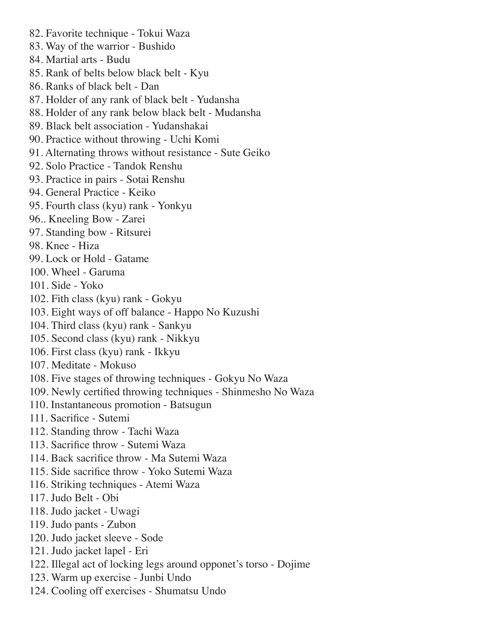82. Favorite technique - Tokui Waza 83. Way of the warrior - Bushido 84. Martial arts - Budu 85. Rank of belts below black belt - Kyu 86. Ranks of black belt - Dan 87. Holder of any rank of black belt - Yudansha 88. Holder of any rank below black belt - Mudansha 89. Black belt association - Yudanshakai 90. Practice without throwing - Uchi Komi 91. Alternating throws without resistance - Sute Geiko 92. Solo Practice - Tandok Renshu 93. Practice in pairs - Sotai Renshu 94. General Practice - Keiko 95. Fourth class (kyu) rank - Yonkyu 96.. Kneeling Bow - Zarei 97. Standing bow - Ritsurei 98. Knee - Hiza 99. Lock or Hold - Gatame 100. Wheel - Garuma 101. Side - Yoko 102. Fith class (kyu) rank - Gokyu 103. Eight ways of off balance - Happo No Kuzushi 104. Third class (kyu) rank - Sankyu 105. Second class (kyu) rank - Nikkyu 106. First class (kyu) rank - Ikkyu 107. Meditate - Mokuso 108. Five stages of throwing techniques - Gokyu No Waza 109. Newly certified throwing techniques - Shinmesho No Waza 110. Instantaneous promotion - Batsugun 111. Sacrifice - Sutemi 112. Standing throw - Tachi Waza 113. Sacrifice throw - Sutemi Waza 114. Back sacrifice throw - Ma Sutemi Waza 115. Side sacrifice throw - Yoko Sutemi Waza 116. Striking techniques - Atemi Waza 117. Judo Belt - Obi 118. Judo jacket - Uwagi 119. Judo pants - Zubon 120. Judo jacket sleeve - Sode 121. Judo jacket lapel - Eri 122. Illegal act of locking legs around opponet's torso - Dojime 123. Warm up exercise - Junbi Undo 124. Cooling off exercises - Shumatsu Undo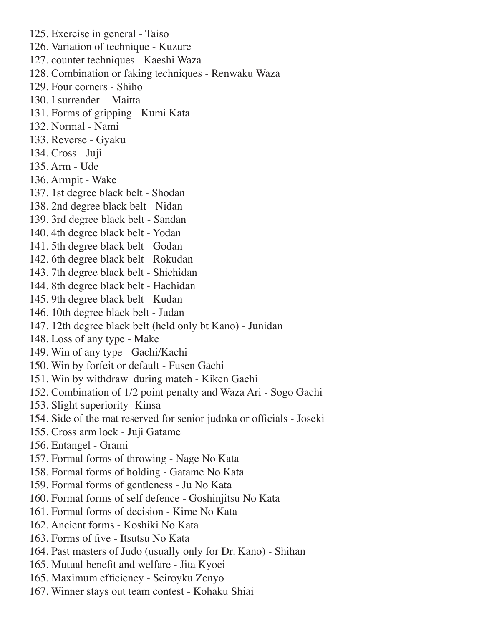- 125. Exercise in general Taiso
- 126. Variation of technique Kuzure
- 127. counter techniques Kaeshi Waza
- 128. Combination or faking techniques Renwaku Waza
- 129. Four corners Shiho
- 130. I surrender Maitta
- 131. Forms of gripping Kumi Kata
- 132. Normal Nami
- 133. Reverse Gyaku
- 134. Cross Juji
- 135. Arm Ude
- 136. Armpit Wake
- 137. 1st degree black belt Shodan
- 138. 2nd degree black belt Nidan
- 139. 3rd degree black belt Sandan
- 140. 4th degree black belt Yodan
- 141. 5th degree black belt Godan
- 142. 6th degree black belt Rokudan
- 143. 7th degree black belt Shichidan
- 144. 8th degree black belt Hachidan
- 145. 9th degree black belt Kudan
- 146. 10th degree black belt Judan
- 147. 12th degree black belt (held only bt Kano) Junidan
- 148. Loss of any type Make
- 149. Win of any type Gachi/Kachi
- 150. Win by forfeit or default Fusen Gachi
- 151. Win by withdraw during match Kiken Gachi
- 152. Combination of 1/2 point penalty and Waza Ari Sogo Gachi
- 153. Slight superiority- Kinsa
- 154. Side of the mat reserved for senior judoka or officials Joseki
- 155. Cross arm lock Juji Gatame
- 156. Entangel Grami
- 157. Formal forms of throwing Nage No Kata
- 158. Formal forms of holding Gatame No Kata
- 159. Formal forms of gentleness Ju No Kata
- 160. Formal forms of self defence Goshinjitsu No Kata
- 161. Formal forms of decision Kime No Kata
- 162. Ancient forms Koshiki No Kata
- 163. Forms of five Itsutsu No Kata
- 164. Past masters of Judo (usually only for Dr. Kano) Shihan
- 165. Mutual benefit and welfare Jita Kyoei
- 165. Maximum efficiency Seiroyku Zenyo
- 167. Winner stays out team contest Kohaku Shiai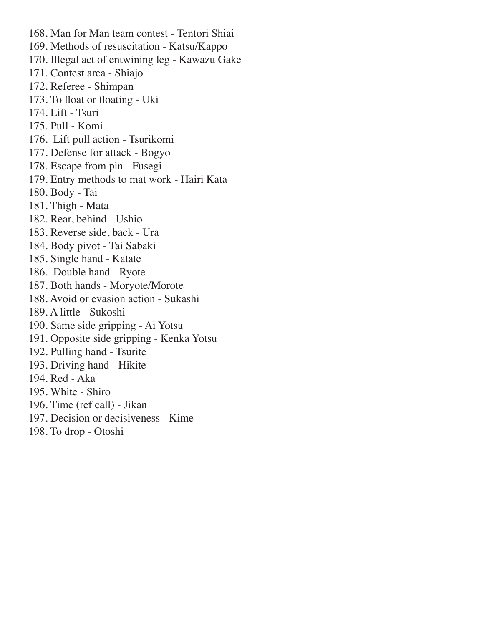168. Man for Man team contest - Tentori Shiai 169. Methods of resuscitation - Katsu/Kappo 170. Illegal act of entwining leg - Kawazu Gake 171. Contest area - Shiajo 172. Referee - Shimpan 173. To float or floating - Uki 174. Lift - Tsuri 175. Pull - Komi 176. Lift pull action - Tsurikomi 177. Defense for attack - Bogyo 178. Escape from pin - Fusegi 179. Entry methods to mat work - Hairi Kata 180. Body - Tai 181. Thigh - Mata 182. Rear, behind - Ushio 183. Reverse side, back - Ura 184. Body pivot - Tai Sabaki 185. Single hand - Katate 186. Double hand - Ryote 187. Both hands - Moryote/Morote 188. Avoid or evasion action - Sukashi 189. A little - Sukoshi 190. Same side gripping - Ai Yotsu 191. Opposite side gripping - Kenka Yotsu 192. Pulling hand - Tsurite 193. Driving hand - Hikite 194. Red - Aka 195. White - Shiro 196. Time (ref call) - Jikan 197. Decision or decisiveness - Kime 198. To drop - Otoshi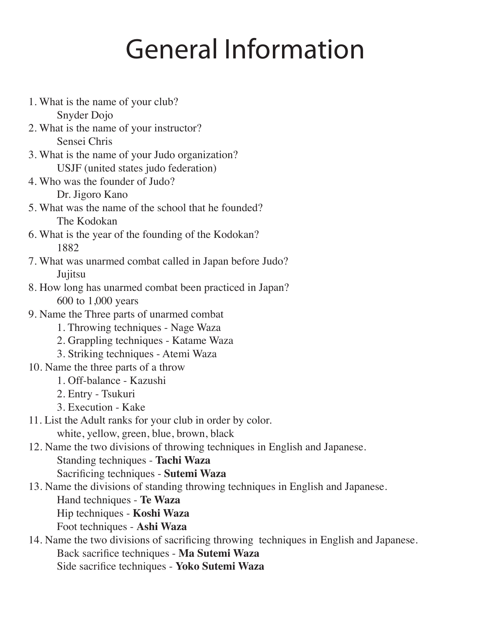## General Information

1. What is the name of your club? Snyder Dojo 2. What is the name of your instructor? Sensei Chris 3. What is the name of your Judo organization? USJF (united states judo federation) 4. Who was the founder of Judo? Dr. Jigoro Kano 5. What was the name of the school that he founded? The Kodokan 6. What is the year of the founding of the Kodokan? 1882 7. What was unarmed combat called in Japan before Judo? **Jujitsu** 8. How long has unarmed combat been practiced in Japan? 600 to 1,000 years 9. Name the Three parts of unarmed combat 1. Throwing techniques - Nage Waza 2. Grappling techniques - Katame Waza 3. Striking techniques - Atemi Waza 10. Name the three parts of a throw 1. Off-balance - Kazushi 2. Entry - Tsukuri 3. Execution - Kake 11. List the Adult ranks for your club in order by color. white, yellow, green, blue, brown, black 12. Name the two divisions of throwing techniques in English and Japanese. Standing techniques - **Tachi Waza** Sacrificing techniques - **Sutemi Waza** 13. Name the divisions of standing throwing techniques in English and Japanese. Hand techniques - **Te Waza** Hip techniques - **Koshi Waza** Foot techniques - **Ashi Waza** 14. Name the two divisions of sacrificing throwing techniques in English and Japanese. Back sacrifice techniques - **Ma Sutemi Waza** Side sacrifice techniques - **Yoko Sutemi Waza**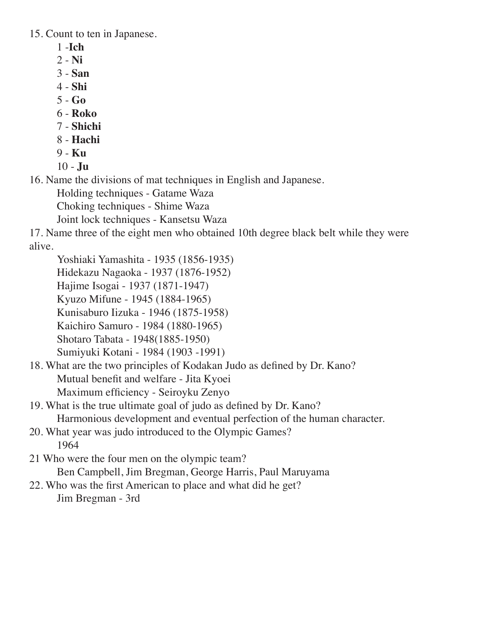15. Count to ten in Japanese.

- 1 -**Ich**
- 2 - **Ni**
- 3 - **San**
- 4 - **Shi**
- 5 - **Go**
- 6 - **Roko**
- 7 - **Shichi**
- 8 - **Hachi**
- 9 - **Ku**
- 10 - **Ju**

16. Name the divisions of mat techniques in English and Japanese.

Holding techniques - Gatame Waza

Choking techniques - Shime Waza

Joint lock techniques - Kansetsu Waza

17. Name three of the eight men who obtained 10th degree black belt while they were alive.

Yoshiaki Yamashita - 1935 (1856-1935)

Hidekazu Nagaoka - 1937 (1876-1952)

Hajime Isogai - 1937 (1871-1947)

Kyuzo Mifune - 1945 (1884-1965)

Kunisaburo Iizuka - 1946 (1875-1958)

Kaichiro Samuro - 1984 (1880-1965)

Shotaro Tabata - 1948(1885-1950)

Sumiyuki Kotani - 1984 (1903 -1991)

18. What are the two principles of Kodakan Judo as defined by Dr. Kano? Mutual benefit and welfare - Jita Kyoei Maximum efficiency - Seiroyku Zenyo

- 19. What is the true ultimate goal of judo as defined by Dr. Kano? Harmonious development and eventual perfection of the human character.
- 20. What year was judo introduced to the Olympic Games? 1964
- 21 Who were the four men on the olympic team? Ben Campbell, Jim Bregman, George Harris, Paul Maruyama
- 22. Who was the first American to place and what did he get? Jim Bregman - 3rd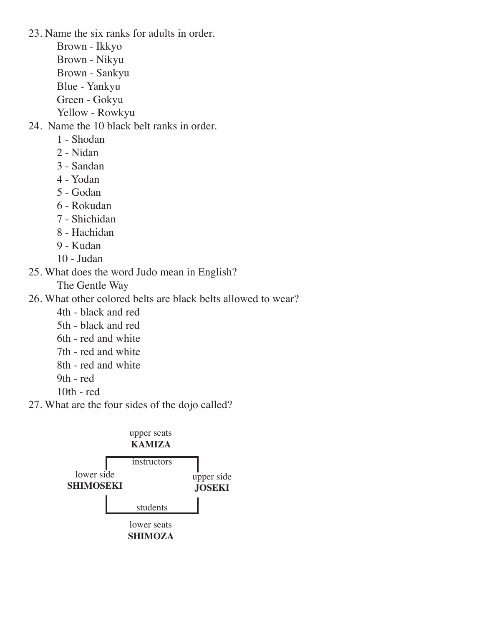23. Name the six ranks for adults in order.

Brown - Ikkyo Brown - Nikyu Brown - Sankyu Blue - Yankyu Green - Gokyu

Yellow - Rowkyu

24. Name the 10 black belt ranks in order.

- 1 Shodan
- 2 Nidan
- 3 Sandan
- 4 Yodan
- 5 Godan
- 6 Rokudan
- 7 Shichidan
- 8 Hachidan
- 9 Kudan
- 10 Judan
- 25. What does the word Judo mean in English?

The Gentle Way

26. What other colored belts are black belts allowed to wear?

- 4th black and red
- 5th black and red
- 6th red and white
- 7th red and white
- 8th red and white
- 9th red
- 10th red
- 27. What are the four sides of the dojo called?